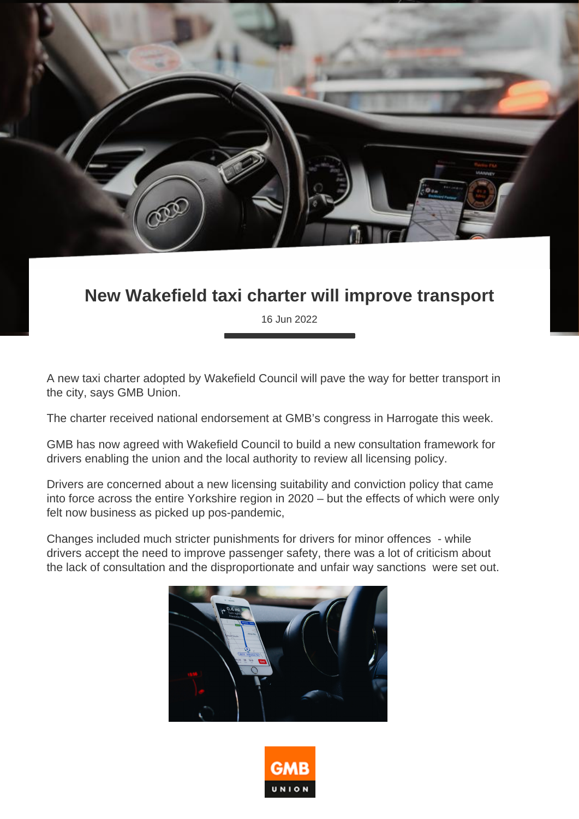

## **New Wakefield taxi charter will improve transport**

16 Jun 2022

A new taxi charter adopted by Wakefield Council will pave the way for better transport in the city, says GMB Union.

The charter received national endorsement at GMB's congress in Harrogate this week.

GMB has now agreed with Wakefield Council to build a new consultation framework for drivers enabling the union and the local authority to review all licensing policy.

Drivers are concerned about a new licensing suitability and conviction policy that came into force across the entire Yorkshire region in 2020 – but the effects of which were only felt now business as picked up pos-pandemic,

Changes included much stricter punishments for drivers for minor offences - while drivers accept the need to improve passenger safety, there was a lot of criticism about the lack of consultation and the disproportionate and unfair way sanctions were set out.